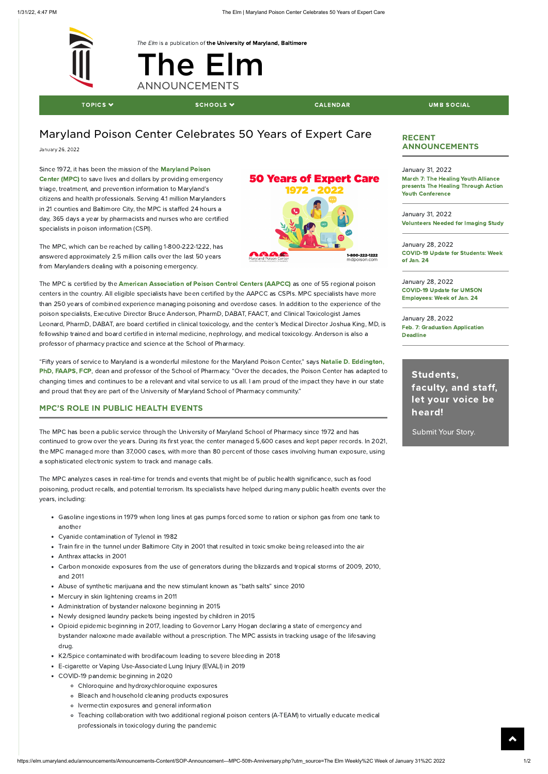

The Elm is a publication of the University of [Maryland,](https://www.umaryland.edu/) Baltimore

## The El[m](https://elm.umaryland.edu/) **ANNOUNCEMENTS**

[TOPICS](javascript:void(0);)  $\blacktriangledown$  denotes the schools  $\blacktriangledown$  denotes the set of calendar  $\blacktriangledown$  denotes the social density of  $\blacktriangledown$ 

### Maryland Poison Center Celebrates 50 Years of Expert Care

January 26, 2022

Since 1972, it has been the mission of the [Maryland](https://www.mdpoison.com/) Poison Center (MPC) to save lives and dollars by providing emergency triage, treatment, and prevention information to Maryland's citizens and health professionals. Serving 4.1 million Marylanders in 21 counties and Baltimore City, the MPC is staffed 24 hours a day, 365 days a year by pharmacists and nurses who are certified specialists in poison information (CSPI).

The MPC is certified by the American [Association](https://aapcc.org/) of Poison Control Centers (AAPCC) as one of 55 regional poison centers in the country. All eligible specialists have been certified by the AAPCC as CSPIs. MPC specialists have more than 250 years of combined experience managing poisoning and overdose cases. In addition to the experience of the poison specialists, Executive Director Bruce Anderson, PharmD, DABAT, FAACT, and Clinical Toxicologist James Leonard, PharmD, DABAT, are board certified in clinical toxicology, and the center's Medical Director Joshua King, MD, is fellowship trained and board certified in internal medicine, nephrology, and medical toxicology. Anderson is also a professor of pharmacy practice and science at the School of Pharmacy.

The MPC, which can be reached by calling 1-800-222-1222, has answered approximately 2.5 million calls over the last 50 years from Marylanders dealing with a poisoning emergency.

"Fifty years of service to Maryland is a wonderful milestone for the Maryland Poison Center," says Natalie D. [Eddington,](https://faculty.rx.umaryland.edu/neddington/) PhD, FAAPS, FCP, dean and professor of the School of Pharmacy. "Over the decades, the Poison Center has adapted to changing times and continues to be a relevant and vital service to us all. I am proud of the impact they have in our state and proud that they are part of the University of Maryland School of Pharmacy community."

#### MPC'S ROLE IN PUBLIC HEALTH EVENTS

January 28, 2022 Feb. 7: [Graduation Application](https://elm.umaryland.edu/announcements/Announcements-Content/Graduation-Application-Deadline---February-7th.php) **Deadline** 

The MPC has been a public service through the University of Maryland School of Pharmacy since 1972 and has continued to grow over the years. During its first year, the center managed 5,600 cases and kept paper records. In 2021, the MPC managed more than 37,000 cases, with more than 80 percent of those cases involving human exposure, using a sophisticated electronic system to track and manage calls.

The MPC analyzes cases in real-time for trends and events that might be of public health significance, such as food poisoning, product recalls, and potential terrorism. Its specialists have helped during many public health events over the years, including:

- Gasoline ingestions in 1979 when long lines at gas pumps forced some to ration or siphon gas from one tank to another
- Cyanide contamination of Tylenol in 1982
- Train fire in the tunnel under Baltimore City in 2001 that resulted in toxic smoke being released into the air
- Anthrax attacks in 2001
- Carbon monoxide exposures from the use of generators during the blizzards and tropical storms of 2009, 2010, and 2011
- Abuse of synthetic marijuana and the new stimulant known as "bath salts" since 2010

# **50 Years of Expert Care** 1-800-222-1222<br>mdpoison.com

- Mercury in skin lightening creams in 2011
- Administration of bystander naloxone beginning in 2015
- Newly designed laundry packets being ingested by children in 2015  $\bullet$
- Opioid epidemic beginning in 2017, leading to Governor Larry Hogan declaring a state of emergency and bystander naloxone made available without a prescription. The MPC assists in tracking usage of the lifesaving drug.
- K2/Spice contaminated with brodifacoum leading to severe bleeding in 2018
- E-cigarette or Vaping Use-Associated Lung Injury (EVALI) in 2019
- COVID-19 pandemic beginning in 2020
	- Chloroquine and hydroxychloroquine exposures
	- Bleach and household cleaning products exposures
	- Ivermectin exposures and general information
	- Teaching collaboration with two additional regional poison centers (A-TEAM) to virtually educate medical professionals in toxicology during the pandemic

 $\blacktriangle$ 

#### RECENT ANNOUNCEMENTS

January 31, 2022 March 7: The Healing Youth Alliance presents The Healing Through Action Youth [Conference](https://elm.umaryland.edu/announcements/Announcements-Content/The-Healing-Youth-Alliance-presents-The-Healing-Through-Action-Youth-Conference-.php)

January 31, 2022 [Volunteers](https://elm.umaryland.edu/announcements/Announcements-Content/Volunteers-Needed-for-an-Imaging-Study-3.php) Needed for Imaging Study

January 28, 2022 [COVID-19](https://elm.umaryland.edu/announcements/Announcements-Content/COVID-19-Update-for-Students-Week-of-Jan-24.php) Update for Students: Week of Jan. 24

January 28, 2022 COVID-19 Update for UMSON [Employees:](https://elm.umaryland.edu/announcements/Announcements-Content/COVID-19-Update-for-UMSON-Employees-Week-of-Jan-24.php) Week of Jan. 24

> [Students,](https://elm.umaryland.edu/submit) faculty, and staff, let your voice be heard!

Submit Your Story.